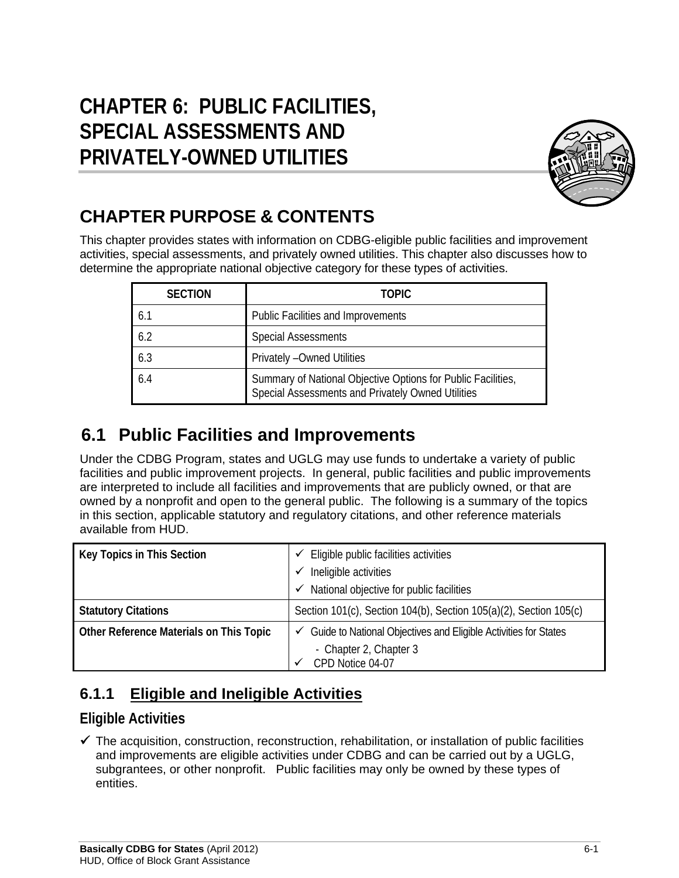# **CHAPTER 6: PUBLIC FACILITIES, SPECIAL ASSESSMENTS AND PRIVATELY-OWNED UTILITIES**



# **CHAPTER PURPOSE & CONTENTS**

This chapter provides states with information on CDBG-eligible public facilities and improvement activities, special assessments, and privately owned utilities. This chapter also discusses how to determine the appropriate national objective category for these types of activities.

| <b>SECTION</b> | <b>TOPIC</b>                                                                                                      |
|----------------|-------------------------------------------------------------------------------------------------------------------|
| 6.1            | Public Facilities and Improvements                                                                                |
| 6.2            | <b>Special Assessments</b>                                                                                        |
| 6.3            | Privately - Owned Utilities                                                                                       |
| 6.4            | Summary of National Objective Options for Public Facilities,<br>Special Assessments and Privately Owned Utilities |

# **6.1 Public Facilities and Improvements**

Under the CDBG Program, states and UGLG may use funds to undertake a variety of public facilities and public improvement projects. In general, public facilities and public improvements are interpreted to include all facilities and improvements that are publicly owned, or that are owned by a nonprofit and open to the general public. The following is a summary of the topics in this section, applicable statutory and regulatory citations, and other reference materials available from HUD.

| Key Topics in This Section              | Eligible public facilities activities<br>Ineligible activities<br>✓<br>National objective for public facilities<br>✓       |  |  |  |  |
|-----------------------------------------|----------------------------------------------------------------------------------------------------------------------------|--|--|--|--|
| <b>Statutory Citations</b>              | Section 101(c), Section 104(b), Section 105(a)(2), Section 105(c)                                                          |  |  |  |  |
| Other Reference Materials on This Topic | $\checkmark$ Guide to National Objectives and Eligible Activities for States<br>- Chapter 2, Chapter 3<br>CPD Notice 04-07 |  |  |  |  |

## **6.1.1 Eligible and Ineligible Activities**

### **Eligible Activities**

 $\checkmark$  The acquisition, construction, reconstruction, rehabilitation, or installation of public facilities and improvements are eligible activities under CDBG and can be carried out by a UGLG, subgrantees, or other nonprofit. Public facilities may only be owned by these types of entities.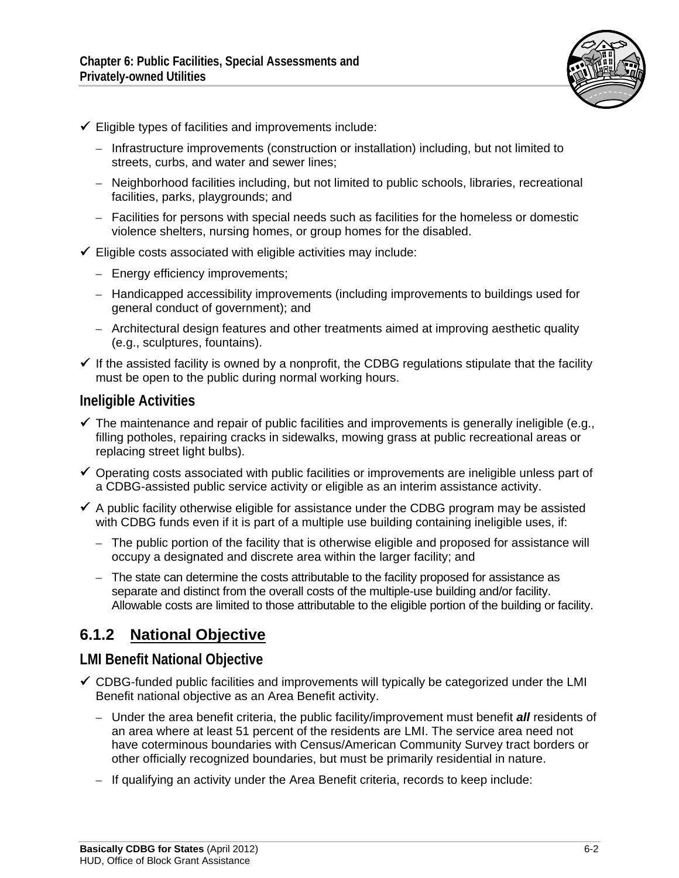

- $\checkmark$  Eligible types of facilities and improvements include:
	- Infrastructure improvements (construction or installation) including, but not limited to streets, curbs, and water and sewer lines;
	- Neighborhood facilities including, but not limited to public schools, libraries, recreational facilities, parks, playgrounds; and
	- Facilities for persons with special needs such as facilities for the homeless or domestic violence shelters, nursing homes, or group homes for the disabled.
- $\checkmark$  Eligible costs associated with eligible activities may include:
	- Energy efficiency improvements;
	- Handicapped accessibility improvements (including improvements to buildings used for general conduct of government); and
	- Architectural design features and other treatments aimed at improving aesthetic quality (e.g., sculptures, fountains).
- $\checkmark$  If the assisted facility is owned by a nonprofit, the CDBG regulations stipulate that the facility must be open to the public during normal working hours.

#### **Ineligible Activities**

- $\checkmark$  The maintenance and repair of public facilities and improvements is generally ineligible (e.g., filling potholes, repairing cracks in sidewalks, mowing grass at public recreational areas or replacing street light bulbs).
- $\checkmark$  Operating costs associated with public facilities or improvements are ineligible unless part of a CDBG-assisted public service activity or eligible as an interim assistance activity.
- $\checkmark$  A public facility otherwise eligible for assistance under the CDBG program may be assisted with CDBG funds even if it is part of a multiple use building containing ineligible uses, if:
	- The public portion of the facility that is otherwise eligible and proposed for assistance will occupy a designated and discrete area within the larger facility; and
	- The state can determine the costs attributable to the facility proposed for assistance as separate and distinct from the overall costs of the multiple-use building and/or facility. Allowable costs are limited to those attributable to the eligible portion of the building or facility.

#### **6.1.2 National Objective**

#### **LMI Benefit National Objective**

- $\checkmark$  CDBG-funded public facilities and improvements will typically be categorized under the LMI Benefit national objective as an Area Benefit activity.
	- Under the area benefit criteria, the public facility/improvement must benefit *all* residents of an area where at least 51 percent of the residents are LMI. The service area need not have coterminous boundaries with Census/American Community Survey tract borders or other officially recognized boundaries, but must be primarily residential in nature.
	- If qualifying an activity under the Area Benefit criteria, records to keep include: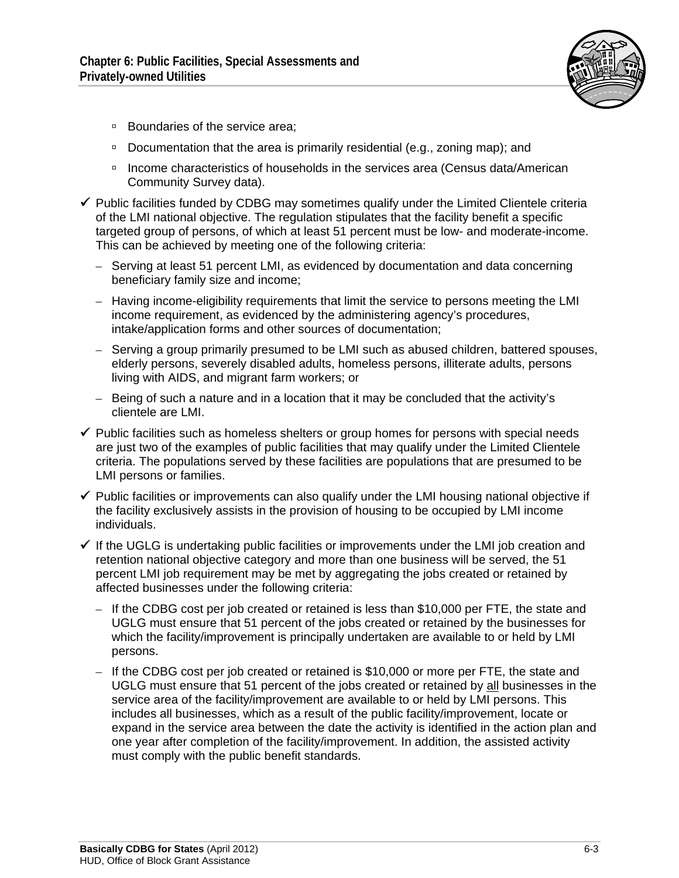

- □ Boundaries of the service area;
- Documentation that the area is primarily residential (e.g., zoning map); and
- Income characteristics of households in the services area (Census data/American Community Survey data).
- $\checkmark$  Public facilities funded by CDBG may sometimes qualify under the Limited Clientele criteria of the LMI national objective. The regulation stipulates that the facility benefit a specific targeted group of persons, of which at least 51 percent must be low- and moderate-income. This can be achieved by meeting one of the following criteria:
	- Serving at least 51 percent LMI, as evidenced by documentation and data concerning beneficiary family size and income;
	- Having income-eligibility requirements that limit the service to persons meeting the LMI income requirement, as evidenced by the administering agency's procedures, intake/application forms and other sources of documentation;
	- Serving a group primarily presumed to be LMI such as abused children, battered spouses, elderly persons, severely disabled adults, homeless persons, illiterate adults, persons living with AIDS, and migrant farm workers; or
	- Being of such a nature and in a location that it may be concluded that the activity's clientele are LMI.
- $\checkmark$  Public facilities such as homeless shelters or group homes for persons with special needs are just two of the examples of public facilities that may qualify under the Limited Clientele criteria. The populations served by these facilities are populations that are presumed to be LMI persons or families.
- $\checkmark$  Public facilities or improvements can also qualify under the LMI housing national objective if the facility exclusively assists in the provision of housing to be occupied by LMI income individuals.
- $\checkmark$  If the UGLG is undertaking public facilities or improvements under the LMI job creation and retention national objective category and more than one business will be served, the 51 percent LMI job requirement may be met by aggregating the jobs created or retained by affected businesses under the following criteria:
	- If the CDBG cost per job created or retained is less than \$10,000 per FTE, the state and UGLG must ensure that 51 percent of the jobs created or retained by the businesses for which the facility/improvement is principally undertaken are available to or held by LMI persons.
	- If the CDBG cost per job created or retained is \$10,000 or more per FTE, the state and UGLG must ensure that 51 percent of the jobs created or retained by all businesses in the service area of the facility/improvement are available to or held by LMI persons. This includes all businesses, which as a result of the public facility/improvement, locate or expand in the service area between the date the activity is identified in the action plan and one year after completion of the facility/improvement. In addition, the assisted activity must comply with the public benefit standards.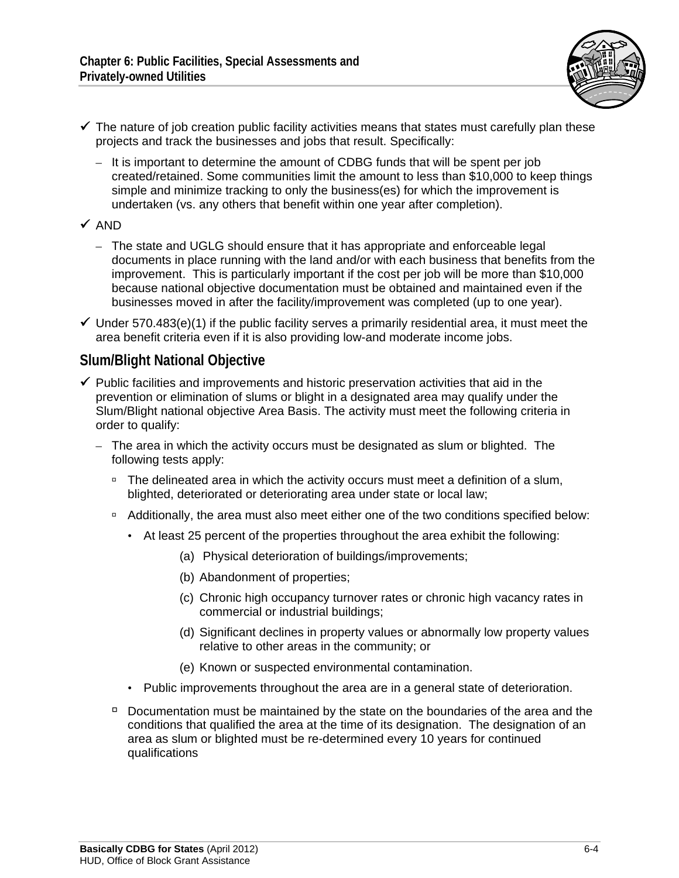

- $\checkmark$  The nature of job creation public facility activities means that states must carefully plan these projects and track the businesses and jobs that result. Specifically:
	- It is important to determine the amount of CDBG funds that will be spent per job created/retained. Some communities limit the amount to less than \$10,000 to keep things simple and minimize tracking to only the business(es) for which the improvement is undertaken (vs. any others that benefit within one year after completion).

#### $\checkmark$  AND

- The state and UGLG should ensure that it has appropriate and enforceable legal documents in place running with the land and/or with each business that benefits from the improvement. This is particularly important if the cost per job will be more than \$10,000 because national objective documentation must be obtained and maintained even if the businesses moved in after the facility/improvement was completed (up to one year).
- $\checkmark$  Under 570.483(e)(1) if the public facility serves a primarily residential area, it must meet the area benefit criteria even if it is also providing low-and moderate income jobs.

#### **Slum/Blight National Objective**

- $\checkmark$  Public facilities and improvements and historic preservation activities that aid in the prevention or elimination of slums or blight in a designated area may qualify under the Slum/Blight national objective Area Basis. The activity must meet the following criteria in order to qualify:
	- The area in which the activity occurs must be designated as slum or blighted. The following tests apply:
		- □ The delineated area in which the activity occurs must meet a definition of a slum, blighted, deteriorated or deteriorating area under state or local law;
		- Additionally, the area must also meet either one of the two conditions specified below:
			- At least 25 percent of the properties throughout the area exhibit the following:
				- (a) Physical deterioration of buildings/improvements;
				- (b) Abandonment of properties;
				- (c) Chronic high occupancy turnover rates or chronic high vacancy rates in commercial or industrial buildings;
				- (d) Significant declines in property values or abnormally low property values relative to other areas in the community; or
				- (e) Known or suspected environmental contamination.
			- Public improvements throughout the area are in a general state of deterioration.
		- $\overline{P}$  Documentation must be maintained by the state on the boundaries of the area and the conditions that qualified the area at the time of its designation. The designation of an area as slum or blighted must be re-determined every 10 years for continued qualifications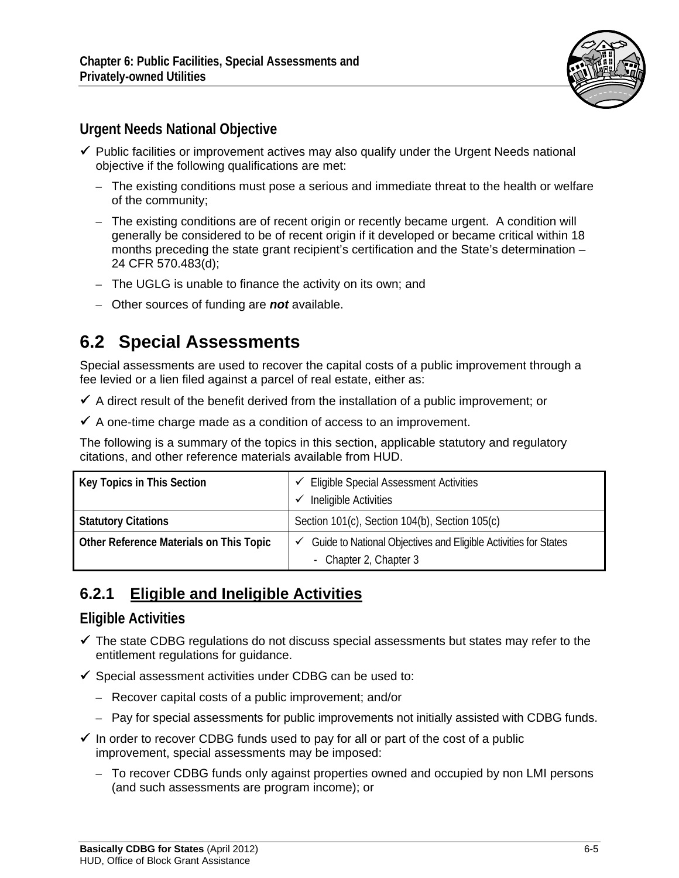

### **Urgent Needs National Objective**

- $\checkmark$  Public facilities or improvement actives may also qualify under the Urgent Needs national objective if the following qualifications are met:
	- The existing conditions must pose a serious and immediate threat to the health or welfare of the community;
	- The existing conditions are of recent origin or recently became urgent. A condition will generally be considered to be of recent origin if it developed or became critical within 18 months preceding the state grant recipient's certification and the State's determination – 24 CFR 570.483(d);
	- The UGLG is unable to finance the activity on its own; and
	- Other sources of funding are *not* available.

## **6.2 Special Assessments**

Special assessments are used to recover the capital costs of a public improvement through a fee levied or a lien filed against a parcel of real estate, either as:

- $\checkmark$  A direct result of the benefit derived from the installation of a public improvement; or
- $\checkmark$  A one-time charge made as a condition of access to an improvement.

The following is a summary of the topics in this section, applicable statutory and regulatory citations, and other reference materials available from HUD.

| Key Topics in This Section              | <b>Eligible Special Assessment Activities</b><br>Ineligible Activities                                 |  |  |  |  |
|-----------------------------------------|--------------------------------------------------------------------------------------------------------|--|--|--|--|
| <b>Statutory Citations</b>              | Section 101(c), Section 104(b), Section 105(c)                                                         |  |  |  |  |
| Other Reference Materials on This Topic | $\checkmark$ Guide to National Objectives and Eligible Activities for States<br>- Chapter 2, Chapter 3 |  |  |  |  |

### **6.2.1 Eligible and Ineligible Activities**

#### **Eligible Activities**

- $\checkmark$  The state CDBG regulations do not discuss special assessments but states may refer to the entitlement regulations for guidance.
- $\checkmark$  Special assessment activities under CDBG can be used to:
	- Recover capital costs of a public improvement; and/or
	- Pay for special assessments for public improvements not initially assisted with CDBG funds.
- $\checkmark$  In order to recover CDBG funds used to pay for all or part of the cost of a public improvement, special assessments may be imposed:
	- To recover CDBG funds only against properties owned and occupied by non LMI persons (and such assessments are program income); or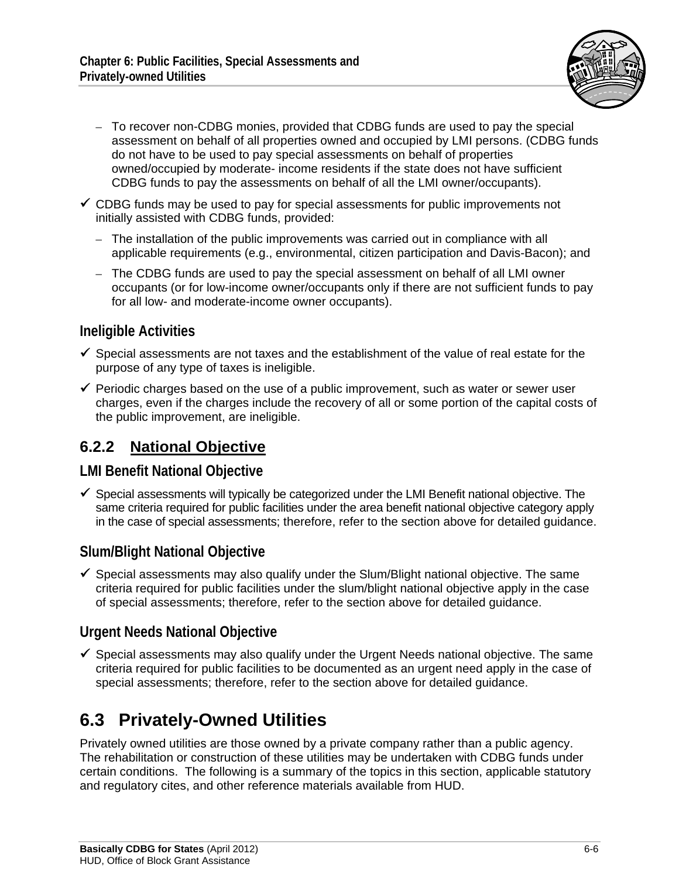

- To recover non-CDBG monies, provided that CDBG funds are used to pay the special assessment on behalf of all properties owned and occupied by LMI persons. (CDBG funds do not have to be used to pay special assessments on behalf of properties owned/occupied by moderate- income residents if the state does not have sufficient CDBG funds to pay the assessments on behalf of all the LMI owner/occupants).
- $\checkmark$  CDBG funds may be used to pay for special assessments for public improvements not initially assisted with CDBG funds, provided:
	- The installation of the public improvements was carried out in compliance with all applicable requirements (e.g., environmental, citizen participation and Davis-Bacon); and
	- The CDBG funds are used to pay the special assessment on behalf of all LMI owner occupants (or for low-income owner/occupants only if there are not sufficient funds to pay for all low- and moderate-income owner occupants).

#### **Ineligible Activities**

- $\checkmark$  Special assessments are not taxes and the establishment of the value of real estate for the purpose of any type of taxes is ineligible.
- $\checkmark$  Periodic charges based on the use of a public improvement, such as water or sewer user charges, even if the charges include the recovery of all or some portion of the capital costs of the public improvement, are ineligible.

### **6.2.2 National Objective**

#### **LMI Benefit National Objective**

 $\checkmark$  Special assessments will typically be categorized under the LMI Benefit national objective. The same criteria required for public facilities under the area benefit national objective category apply in the case of special assessments; therefore, refer to the section above for detailed guidance.

#### **Slum/Blight National Objective**

 $\checkmark$  Special assessments may also qualify under the Slum/Blight national objective. The same criteria required for public facilities under the slum/blight national objective apply in the case of special assessments; therefore, refer to the section above for detailed guidance.

#### **Urgent Needs National Objective**

 $\checkmark$  Special assessments may also qualify under the Urgent Needs national objective. The same criteria required for public facilities to be documented as an urgent need apply in the case of special assessments; therefore, refer to the section above for detailed guidance.

# **6.3 Privately-Owned Utilities**

Privately owned utilities are those owned by a private company rather than a public agency. The rehabilitation or construction of these utilities may be undertaken with CDBG funds under certain conditions. The following is a summary of the topics in this section, applicable statutory and regulatory cites, and other reference materials available from HUD.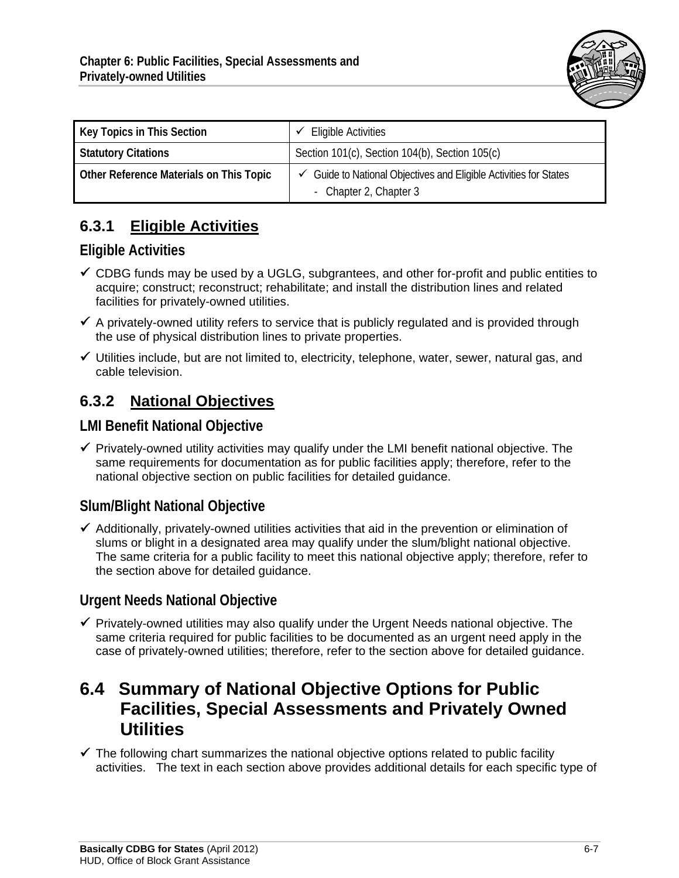

| Key Topics in This Section              | <b>Eligible Activities</b>                                                                             |  |  |  |  |
|-----------------------------------------|--------------------------------------------------------------------------------------------------------|--|--|--|--|
| <b>Statutory Citations</b>              | Section 101(c), Section 104(b), Section 105(c)                                                         |  |  |  |  |
| Other Reference Materials on This Topic | $\checkmark$ Guide to National Objectives and Eligible Activities for States<br>- Chapter 2, Chapter 3 |  |  |  |  |

## **6.3.1 Eligible Activities**

#### **Eligible Activities**

- $\checkmark$  CDBG funds may be used by a UGLG, subgrantees, and other for-profit and public entities to acquire; construct; reconstruct; rehabilitate; and install the distribution lines and related facilities for privately-owned utilities.
- $\checkmark$  A privately-owned utility refers to service that is publicly regulated and is provided through the use of physical distribution lines to private properties.
- $\checkmark$  Utilities include, but are not limited to, electricity, telephone, water, sewer, natural gas, and cable television.

## **6.3.2 National Objectives**

#### **LMI Benefit National Objective**

 $\checkmark$  Privately-owned utility activities may qualify under the LMI benefit national objective. The same requirements for documentation as for public facilities apply; therefore, refer to the national objective section on public facilities for detailed guidance.

### **Slum/Blight National Objective**

 $\checkmark$  Additionally, privately-owned utilities activities that aid in the prevention or elimination of slums or blight in a designated area may qualify under the slum/blight national objective. The same criteria for a public facility to meet this national objective apply; therefore, refer to the section above for detailed guidance.

#### **Urgent Needs National Objective**

 $\checkmark$  Privately-owned utilities may also qualify under the Urgent Needs national objective. The same criteria required for public facilities to be documented as an urgent need apply in the case of privately-owned utilities; therefore, refer to the section above for detailed guidance.

## **6.4 Summary of National Objective Options for Public Facilities, Special Assessments and Privately Owned Utilities**

 $\checkmark$  The following chart summarizes the national objective options related to public facility activities. The text in each section above provides additional details for each specific type of